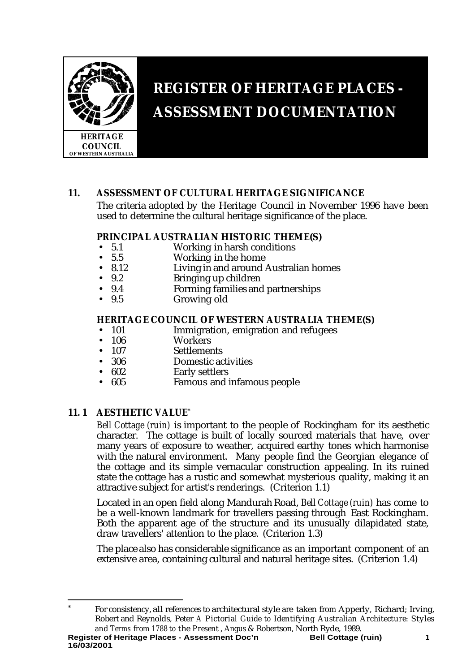

# **REGISTER OF HERITAGE PLACES - ASSESSMENT DOCUMENTATION**

# **11. ASSESSMENT OF CULTURAL HERITAGE SIGNIFICANCE**

The criteria adopted by the Heritage Council in November 1996 have been used to determine the cultural heritage significance of the place.

#### **PRINCIPAL AUSTRALIAN HISTORIC THEME(S)**

- 5.1 Working in harsh conditions<br>• 5.5 Working in the home
- 5.5 Working in the home<br>• 8.12 Living in and around
- 8.12 Living in and around Australian homes<br>• 9.2 Bringing up children
- 9.2 Bringing up children<br>• 9.4 Forming families and
- 9.4 Forming families and partnerships<br>• 9.5 Growing old
- Growing old

# **HERITAGE COUNCIL OF WESTERN AUSTRALIA THEME(S)**<br>101 Immigration emigration and refugees

- 101 Immigration, emigration and refugees<br>• 106 Workers
- 106 Workers<br>• 107 Settlemer
- 107 Settlements<br>306 Domestic ac
- Domestic activities
- 602 Early settlers<br>• 605 Famous and i
- Famous and infamous people

# **11. 1 AESTHETIC VALUE\***

*Bell Cottage (ruin)* is important to the people of Rockingham for its aesthetic character. The cottage is built of locally sourced materials that have, over many years of exposure to weather, acquired earthy tones which harmonise with the natural environment. Many people find the Georgian elegance of the cottage and its simple vernacular construction appealing. In its ruined state the cottage has a rustic and somewhat mysterious quality, making it an attractive subject for artist's renderings. (Criterion 1.1)

Located in an open field along Mandurah Road, *Bell Cottage (ruin)* has come to be a well-known landmark for travellers passing through East Rockingham. Both the apparent age of the structure and its unusually dilapidated state, draw travellers' attention to the place. (Criterion 1.3)

The place also has considerable significance as an important component of an extensive area, containing cultural and natural heritage sites. (Criterion 1.4)

Register of Heritage Places - Assessment Doc'n **Bell Cottage (ruin)** 1 j For consistency, all references to architectural style are taken from Apperly, Richard; Irving, Robert and Reynolds, Peter *A Pictorial Guide to Identifying Australian Architecture: Styles and Terms from 1788 to the Present* , Angus & Robertson, North Ryde, 1989.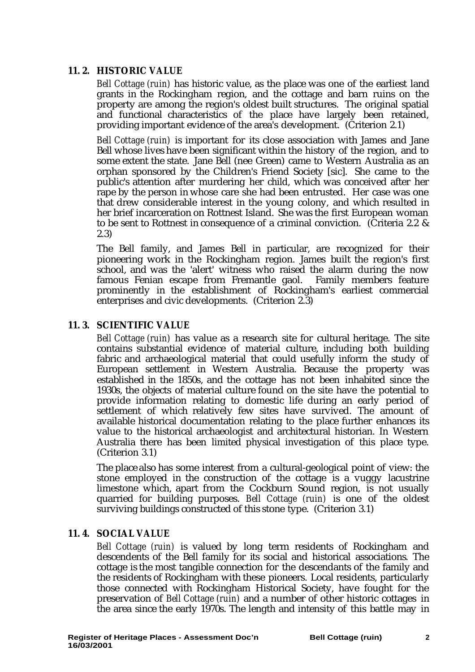# **11. 2. HISTORIC VALUE**

*Bell Cottage (ruin)* has historic value, as the place was one of the earliest land grants in the Rockingham region, and the cottage and barn ruins on the property are among the region's oldest built structures. The original spatial and functional characteristics of the place have largely been retained, providing important evidence of the area's development. (Criterion 2.1)

*Bell Cottage (ruin)* is important for its close association with James and Jane Bell whose lives have been significant within the history of the region, and to some extent the state. Jane Bell (nee Green) came to Western Australia as an orphan sponsored by the Children's Friend Society [sic]. She came to the public's attention after murdering her child, which was conceived after her rape by the person in whose care she had been entrusted. Her case was one that drew considerable interest in the young colony, and which resulted in her brief incarceration on Rottnest Island. She was the first European woman to be sent to Rottnest in consequence of a criminal conviction. (Criteria 2.2 & 2.3)

The Bell family, and James Bell in particular, are recognized for their pioneering work in the Rockingham region. James built the region's first school, and was the 'alert' witness who raised the alarm during the now famous Fenian escape from Fremantle gaol. Family members feature prominently in the establishment of Rockingham's earliest commercial enterprises and civic developments. (Criterion 2.3)

# **11. 3. SCIENTIFIC VALUE**

*Bell Cottage (ruin)* has value as a research site for cultural heritage. The site contains substantial evidence of material culture, including both building fabric and archaeological material that could usefully inform the study of European settlement in Western Australia. Because the property was established in the 1850s, and the cottage has not been inhabited since the 1930s, the objects of material culture found on the site have the potential to provide information relating to domestic life during an early period of settlement of which relatively few sites have survived. The amount of available historical documentation relating to the place further enhances its value to the historical archaeologist and architectural historian. In Western Australia there has been limited physical investigation of this place type. (Criterion 3.1)

The place also has some interest from a cultural-geological point of view: the stone employed in the construction of the cottage is a vuggy lacustrine limestone which, apart from the Cockburn Sound region, is not usually quarried for building purposes. *Bell Cottage (ruin)* is one of the oldest surviving buildings constructed of this stone type. (Criterion 3.1)

# **11. 4. SOCIAL VALUE**

*Bell Cottage (ruin)* is valued by long term residents of Rockingham and descendents of the Bell family for its social and historical associations. The cottage is the most tangible connection for the descendants of the family and the residents of Rockingham with these pioneers. Local residents, particularly those connected with Rockingham Historical Society, have fought for the preservation of *Bell Cottage (ruin)* and a number of other historic cottages in the area since the early 1970s. The length and intensity of this battle may in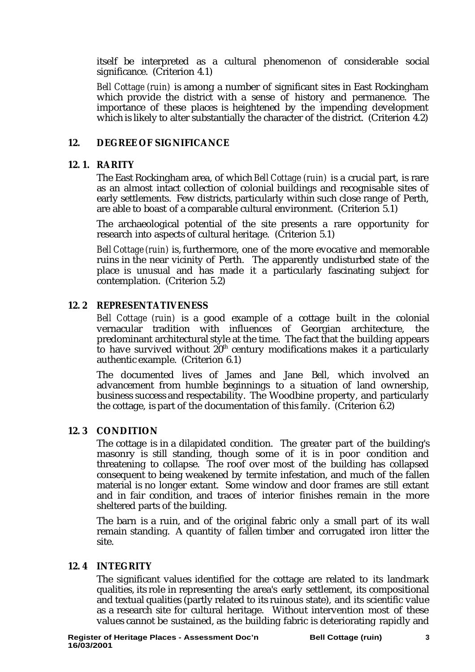itself be interpreted as a cultural phenomenon of considerable social significance. (Criterion 4.1)

*Bell Cottage (ruin)* is among a number of significant sites in East Rockingham which provide the district with a sense of history and permanence. The importance of these places is heightened by the impending development which is likely to alter substantially the character of the district. (Criterion 4.2)

#### **12. DEGREE OF SIGNIFICANCE**

#### **12. 1. RARITY**

The East Rockingham area, of which *Bell Cottage (ruin)* is a crucial part, is rare as an almost intact collection of colonial buildings and recognisable sites of early settlements. Few districts, particularly within such close range of Perth, are able to boast of a comparable cultural environment. (Criterion 5.1)

The archaeological potential of the site presents a rare opportunity for research into aspects of cultural heritage. (Criterion 5.1)

*Bell Cottage (ruin)* is, furthermore, one of the more evocative and memorable ruins in the near vicinity of Perth. The apparently undisturbed state of the place is unusual and has made it a particularly fascinating subject for contemplation. (Criterion 5.2)

# **12. 2 REPRESENTATIVENESS**

*Bell Cottage (ruin)* is a good example of a cottage built in the colonial vernacular tradition with influences of Georgian architecture, the predominant architectural style at the time. The fact that the building appears to have survived without  $20<sup>th</sup>$  century modifications makes it a particularly authentic example. (Criterion 6.1)

The documented lives of James and Jane Bell, which involved an advancement from humble beginnings to a situation of land ownership, business success and respectability. The Woodbine property, and particularly the cottage, is part of the documentation of this family. (Criterion 6.2)

#### **12. 3 CONDITION**

The cottage is in a dilapidated condition. The greater part of the building's masonry is still standing, though some of it is in poor condition and threatening to collapse. The roof over most of the building has collapsed consequent to being weakened by termite infestation, and much of the fallen material is no longer extant. Some window and door frames are still extant and in fair condition, and traces of interior finishes remain in the more sheltered parts of the building.

The barn is a ruin, and of the original fabric only a small part of its wall remain standing. A quantity of fallen timber and corrugated iron litter the site.

#### **12. 4 INTEGRITY**

The significant values identified for the cottage are related to its landmark qualities, its role in representing the area's early settlement, its compositional and textual qualities (partly related to its ruinous state), and its scientific value as a research site for cultural heritage. Without intervention most of these values cannot be sustained, as the building fabric is deteriorating rapidly and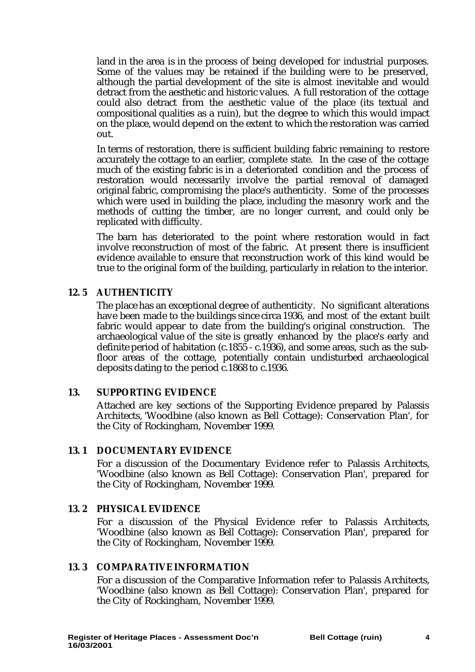land in the area is in the process of being developed for industrial purposes. Some of the values may be retained if the building were to be preserved, although the partial development of the site is almost inevitable and would detract from the aesthetic and historic values. A full restoration of the cottage could also detract from the aesthetic value of the place (its textual and compositional qualities as a ruin), but the degree to which this would impact on the place, would depend on the extent to which the restoration was carried out.

In terms of restoration, there is sufficient building fabric remaining to restore accurately the cottage to an earlier, complete state. In the case of the cottage much of the existing fabric is in a deteriorated condition and the process of restoration would necessarily involve the partial removal of damaged original fabric, compromising the place's authenticity. Some of the processes which were used in building the place, including the masonry work and the methods of cutting the timber, are no longer current, and could only be replicated with difficulty.

The barn has deteriorated to the point where restoration would in fact involve reconstruction of most of the fabric. At present there is insufficient evidence available to ensure that reconstruction work of this kind would be true to the original form of the building, particularly in relation to the interior.

# **12. 5 AUTHENTICITY**

The place has an exceptional degree of authenticity. No significant alterations have been made to the buildings since circa 1936, and most of the extant built fabric would appear to date from the building's original construction. The archaeological value of the site is greatly enhanced by the place's early and definite period of habitation (c.1855 - c.1936), and some areas, such as the subfloor areas of the cottage, potentially contain undisturbed archaeological deposits dating to the period c.1868 to c.1936.

#### **13. SUPPORTING EVIDENCE**

Attached are key sections of the Supporting Evidence prepared by Palassis Architects, 'Woodbine (also known as Bell Cottage): Conservation Plan', for the City of Rockingham, November 1999.

#### **13. 1 DOCUMENTARY EVIDENCE**

For a discussion of the Documentary Evidence refer to Palassis Architects, 'Woodbine (also known as Bell Cottage): Conservation Plan', prepared for the City of Rockingham, November 1999.

#### **13. 2 PHYSICAL EVIDENCE**

For a discussion of the Physical Evidence refer to Palassis Architects, 'Woodbine (also known as Bell Cottage): Conservation Plan', prepared for the City of Rockingham, November 1999.

#### **13. 3 COMPARATIVE INFORMATION**

For a discussion of the Comparative Information refer to Palassis Architects, 'Woodbine (also known as Bell Cottage): Conservation Plan', prepared for the City of Rockingham, November 1999.